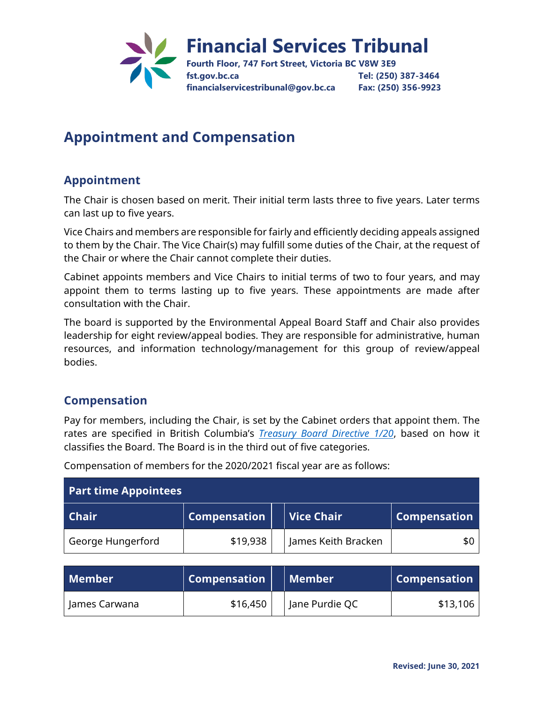

## **Appointment and Compensation**

## **Appointment**

The Chair is chosen based on merit. Their initial term lasts three to five years. Later terms can last up to five years.

Vice Chairs and members are responsible for fairly and efficiently deciding appeals assigned to them by the Chair. The Vice Chair(s) may fulfill some duties of the Chair, at the request of the Chair or where the Chair cannot complete their duties.

Cabinet appoints members and Vice Chairs to initial terms of two to four years, and may appoint them to terms lasting up to five years. These appointments are made after consultation with the Chair.

The board is supported by the Environmental Appeal Board Staff and Chair also provides leadership for eight review/appeal bodies. They are responsible for administrative, human resources, and information technology/management for this group of review/appeal bodies.

## **Compensation**

Pay for members, including the Chair, is set by the Cabinet orders that appoint them. The rates are specified in British Columbia's *Treasury Board Directive 1/20*, based on how it classifies the Board. The Board is in the third out of five categories.

| <b>Part time Appointees</b> |                     |  |                     |                     |  |  |
|-----------------------------|---------------------|--|---------------------|---------------------|--|--|
| <b>Chair</b>                | <b>Compensation</b> |  | <b>Vice Chair</b>   | <b>Compensation</b> |  |  |
| George Hungerford           | \$19,938            |  | James Keith Bracken | \$0                 |  |  |

Compensation of members for the 2020/2021 fiscal year are as follows:

| Member        | $\mid$ Compensation $\mid$ | Member         | $\mid$ Compensation |
|---------------|----------------------------|----------------|---------------------|
| James Carwana | \$16,450                   | Jane Purdie QC | \$13,106            |